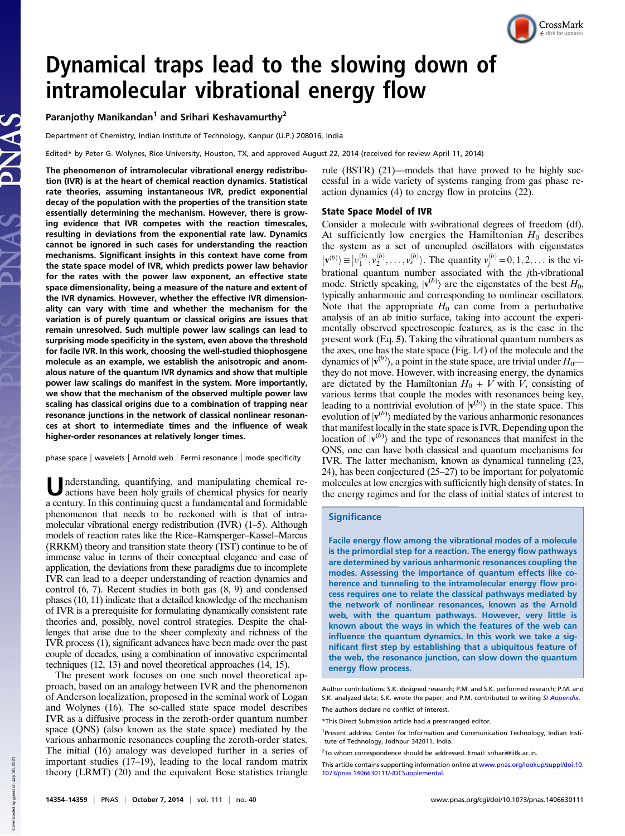

# Dynamical traps lead to the slowing down of intramolecular vibrational energy flow

Paranjothy Manikandan<sup>1</sup> and Srihari Keshavamurthy<sup>2</sup>

Department of Chemistry, Indian Institute of Technology, Kanpur (U.P.) 208016, India

Edited\* by Peter G. Wolynes, Rice University, Houston, TX, and approved August 22, 2014 (received for review April 11, 2014)

The phenomenon of intramolecular vibrational energy redistribution (IVR) is at the heart of chemical reaction dynamics. Statistical rate theories, assuming instantaneous IVR, predict exponential decay of the population with the properties of the transition state essentially determining the mechanism. However, there is growing evidence that IVR competes with the reaction timescales, resulting in deviations from the exponential rate law. Dynamics cannot be ignored in such cases for understanding the reaction mechanisms. Significant insights in this context have come from the state space model of IVR, which predicts power law behavior for the rates with the power law exponent, an effective state space dimensionality, being a measure of the nature and extent of the IVR dynamics. However, whether the effective IVR dimensionality can vary with time and whether the mechanism for the variation is of purely quantum or classical origins are issues that remain unresolved. Such multiple power law scalings can lead to surprising mode specificity in the system, even above the threshold for facile IVR. In this work, choosing the well-studied thiophosgene molecule as an example, we establish the anisotropic and anomalous nature of the quantum IVR dynamics and show that multiple power law scalings do manifest in the system. More importantly, we show that the mechanism of the observed multiple power law scaling has classical origins due to a combination of trapping near resonance junctions in the network of classical nonlinear resonances at short to intermediate times and the influence of weak higher-order resonances at relatively longer times.

phase space | wavelets | Arnold web | Fermi resonance | mode specificity

Understanding, quantifying, and manipulating chemical reactions have been holy grails of chemical physics for nearly actions have been holy grails of chemical physics for nearly a century. In this continuing quest a fundamental and formidable phenomenon that needs to be reckoned with is that of intramolecular vibrational energy redistribution (IVR) (1–5). Although models of reaction rates like the Rice–Ramsperger–Kassel–Marcus (RRKM) theory and transition state theory (TST) continue to be of immense value in terms of their conceptual elegance and ease of application, the deviations from these paradigms due to incomplete IVR can lead to a deeper understanding of reaction dynamics and control (6, 7). Recent studies in both gas (8, 9) and condensed phases (10, 11) indicate that a detailed knowledge of the mechanism of IVR is a prerequisite for formulating dynamically consistent rate theories and, possibly, novel control strategies. Despite the challenges that arise due to the sheer complexity and richness of the IVR process (1), significant advances have been made over the past couple of decades, using a combination of innovative experimental techniques (12, 13) and novel theoretical approaches (14, 15).

The present work focuses on one such novel theoretical approach, based on an analogy between IVR and the phenomenon of Anderson localization, proposed in the seminal work of Logan and Wolynes (16). The so-called state space model describes IVR as a diffusive process in the zeroth-order quantum number space (QNS) (also known as the state space) mediated by the various anharmonic resonances coupling the zeroth-order states. The initial (16) analogy was developed further in a series of important studies (17–19), leading to the local random matrix theory (LRMT) (20) and the equivalent Bose statistics triangle

rule (BSTR) (21)—models that have proved to be highly successful in a wide variety of systems ranging from gas phase reaction dynamics (4) to energy flow in proteins (22).

# State Space Model of IVR

Consider a molecule with s-vibrational degrees of freedom (df). At sufficiently low energies the Hamiltonian  $H_0$  describes the system as a set of uncoupled oscillators with eigenstates  $\vert \mathbf{v}^{(b)} \rangle \equiv \vert v_1^{(b)}, v_2^{(b)}, \dots, v_s^{(b)} \rangle$ . The quantity  $v_j^{(b)} = 0, 1, 2, \dots$  is the vibrational quantum number associated with the jth-vibrational mode. Strictly speaking,  $|v^{(b)}\rangle$  are the eigenstates of the best  $H_0$ , typically anharmonic and corresponding to nonlinear oscillators. Note that the appropriate  $H_0$  can come from a perturbative analysis of an ab initio surface, taking into account the experimentally observed spectroscopic features, as is the case in the present work (Eq. 5). Taking the vibrational quantum numbers as the axes, one has the state space (Fig. 1A) of the molecule and the dynamics of  $|v^{(b)}\rangle$ , a point in the state space, are trivial under  $H_0$  they do not move. However, with increasing energy, the dynamics are dictated by the Hamiltonian  $H_0 + V$  with V, consisting of various terms that couple the modes with resonances being key, leading to a nontrivial evolution of  $|v^{(b)}\rangle$  in the state space. This evolution of  $|v^{(b)}\rangle$  mediated by the various anharmonic resonances that manifest locally in the state space is IVR. Depending upon the location of  $|v^{(b)}\rangle$  and the type of resonances that manifest in the QNS, one can have both classical and quantum mechanisms for IVR. The latter mechanism, known as dynamical tunneling (23, 24), has been conjectured (25–27) to be important for polyatomic molecules at low energies with sufficiently high density of states. In the energy regimes and for the class of initial states of interest to

### **Significance**

Facile energy flow among the vibrational modes of a molecule is the primordial step for a reaction. The energy flow pathways are determined by various anharmonic resonances coupling the modes. Assessing the importance of quantum effects like coherence and tunneling to the intramolecular energy flow process requires one to relate the classical pathways mediated by the network of nonlinear resonances, known as the Arnold web, with the quantum pathways. However, very little is known about the ways in which the features of the web can influence the quantum dynamics. In this work we take a significant first step by establishing that a ubiquitous feature of the web, the resonance junction, can slow down the quantum energy flow process.

Author contributions: S.K. designed research; P.M. and S.K. performed research; P.M. and S.K. analyzed data; S.K. wrote the paper; and P.M. contributed to writing SI Appendix.

The authors declare no conflict of interest.

<sup>\*</sup>This Direct Submission article had a prearranged editor.

<sup>&</sup>lt;sup>1</sup>Present address: Center for Information and Communication Technology, Indian Institute of Technology, Jodhpur 342011, India.

<sup>&</sup>lt;sup>2</sup>To whom correspondence should be addressed. Email: srihari@iitk.ac.in.

This article contains supporting information online at www.pnas.org/lookup/suppl/doi:10. 1073/pnas.1406630111/-/DCSupplemental.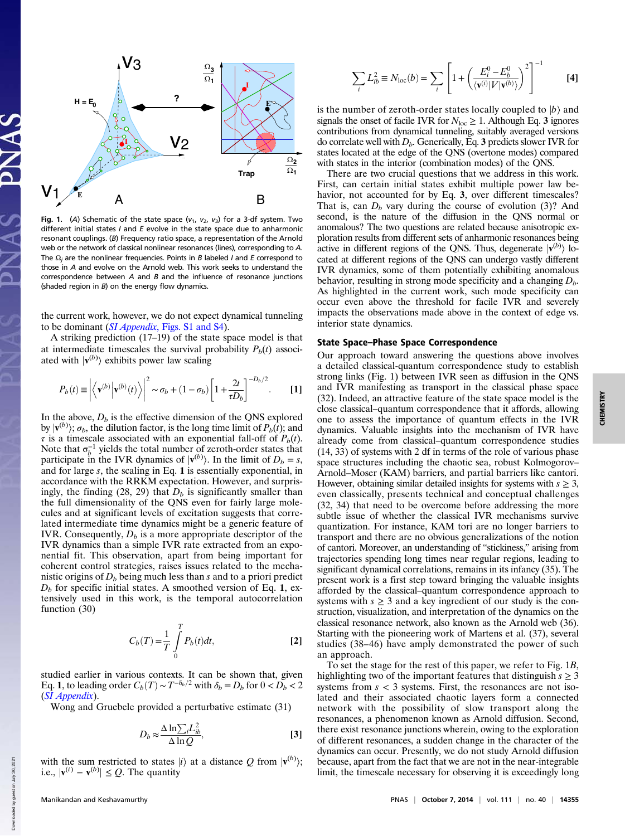

Fig. 1. (A) Schematic of the state space ( $v_1$ ,  $v_2$ ,  $v_3$ ) for a 3-df system. Two different initial states  $I$  and  $E$  evolve in the state space due to anharmonic resonant couplings. (B) Frequency ratio space, a representation of the Arnold web or the network of classical nonlinear resonances (lines), corresponding to A. The  $\Omega_i$  are the nonlinear frequencies. Points in B labeled I and E correspond to those in A and evolve on the Arnold web. This work seeks to understand the correspondence between  $A$  and  $B$  and the influence of resonance junctions (shaded region in  $B$ ) on the energy flow dynamics.

the current work, however, we do not expect dynamical tunneling to be dominant *(SI Appendix*, Figs. S1 and S4).

A striking prediction (17–19) of the state space model is that at intermediate timescales the survival probability  $P_b(t)$  associated with  $|v^{(b)}\rangle$  exhibits power law scaling

$$
P_b(t) \equiv \left| \left\langle \mathbf{v}^{(b)} \right| \mathbf{v}^{(b)}(t) \right\rangle \right|^2 \sim \sigma_b + (1 - \sigma_b) \left[ 1 + \frac{2t}{\tau D_b} \right]^{-D_b/2}.
$$
 [1]

In the above,  $D_b$  is the effective dimension of the QNS explored by  $|v^{(b)}\rangle$ ;  $\sigma_b$ , the dilution factor, is the long time limit of  $P_b(t)$ ; and  $\tau$  is a timescale associated with an exponential fall-off of  $P_b(t)$ . Note that  $\sigma_b^{-1}$  yields the total number of zeroth-order states that participate in the IVR dynamics of  $|v^{(b)}\rangle$ . In the limit of  $D_b = s$ , and for large s, the scaling in Eq. 1 is essentially exponential, in accordance with the RRKM expectation. However, and surprisingly, the finding (28, 29) that  $D<sub>b</sub>$  is significantly smaller than the full dimensionality of the QNS even for fairly large molecules and at significant levels of excitation suggests that correlated intermediate time dynamics might be a generic feature of IVR. Consequently,  $D<sub>b</sub>$  is a more appropriate descriptor of the IVR dynamics than a simple IVR rate extracted from an exponential fit. This observation, apart from being important for coherent control strategies, raises issues related to the mechanistic origins of  $D<sub>b</sub>$  being much less than s and to a priori predict  $D<sub>b</sub>$  for specific initial states. A smoothed version of Eq. 1, extensively used in this work, is the temporal autocorrelation function (30)

$$
C_b(T) = \frac{1}{T} \int_{0}^{T} P_b(t)dt,
$$
 [2]

studied earlier in various contexts. It can be shown that, given Eq. 1, to leading order  $C_b(T) \sim T^{-\delta_b/2}$  with  $\delta_b = D_b$  for  $0 < D_b < 2$ (SI Appendix).

Wong and Gruebele provided a perturbative estimate (31)

$$
D_b \approx \frac{\Delta \ln \sum_i L_{ib}^2}{\Delta \ln Q},
$$
 [3]

with the sum restricted to states  $|i\rangle$  at a distance Q from  $|v^{(b)}\rangle$ ; i.e.,  $|\mathbf{v}^{(i)} - \mathbf{v}^{(b)}| \leq Q$ . The quantity

$$
\sum_{i} L_{ib}^{2} \equiv N_{\text{loc}}(b) = \sum_{i} \left[ 1 + \left( \frac{E_{i}^{0} - E_{b}^{0}}{\langle \mathbf{v}^{(i)} | V | \mathbf{v}^{(b)} \rangle} \right)^{2} \right]^{-1}
$$
 [4]

is the number of zeroth-order states locally coupled to  $|b\rangle$  and signals the onset of facile IVR for  $N_{\text{loc}} \geq 1$ . Although Eq. 3 ignores contributions from dynamical tunneling, suitably averaged versions do correlate well with  $D_b$ . Generically, Eq. 3 predicts slower IVR for states located at the edge of the QNS (overtone modes) compared with states in the interior (combination modes) of the QNS.

There are two crucial questions that we address in this work. First, can certain initial states exhibit multiple power law behavior, not accounted for by Eq. 3, over different timescales? That is, can  $D_b$  vary during the course of evolution (3)? And second, is the nature of the diffusion in the QNS normal or anomalous? The two questions are related because anisotropic exploration results from different sets of anharmonic resonances being active in different regions of the QNS. Thus, degenerate  $|v^{(b)}\rangle$  located at different regions of the QNS can undergo vastly different IVR dynamics, some of them potentially exhibiting anomalous behavior, resulting in strong mode specificity and a changing  $D<sub>b</sub>$ . As highlighted in the current work, such mode specificity can occur even above the threshold for facile IVR and severely impacts the observations made above in the context of edge vs. interior state dynamics.

# State Space–Phase Space Correspondence

Our approach toward answering the questions above involves a detailed classical-quantum correspondence study to establish strong links (Fig. 1) between IVR seen as diffusion in the QNS and IVR manifesting as transport in the classical phase space (32). Indeed, an attractive feature of the state space model is the close classical–quantum correspondence that it affords, allowing one to assess the importance of quantum effects in the IVR dynamics. Valuable insights into the mechanism of IVR have already come from classical–quantum correspondence studies (14, 33) of systems with 2 df in terms of the role of various phase space structures including the chaotic sea, robust Kolmogorov– Arnold–Moser (KAM) barriers, and partial barriers like cantori. However, obtaining similar detailed insights for systems with  $s \geq 3$ , even classically, presents technical and conceptual challenges (32, 34) that need to be overcome before addressing the more subtle issue of whether the classical IVR mechanisms survive quantization. For instance, KAM tori are no longer barriers to transport and there are no obvious generalizations of the notion of cantori. Moreover, an understanding of "stickiness," arising from trajectories spending long times near regular regions, leading to significant dynamical correlations, remains in its infancy (35). The present work is a first step toward bringing the valuable insights afforded by the classical–quantum correspondence approach to systems with  $s \geq 3$  and a key ingredient of our study is the construction, visualization, and interpretation of the dynamics on the classical resonance network, also known as the Arnold web (36). Starting with the pioneering work of Martens et al. (37), several studies (38–46) have amply demonstrated the power of such an approach.

To set the stage for the rest of this paper, we refer to Fig. 1B, highlighting two of the important features that distinguish  $s \geq 3$ systems from  $s < 3$  systems. First, the resonances are not isolated and their associated chaotic layers form a connected network with the possibility of slow transport along the resonances, a phenomenon known as Arnold diffusion. Second, there exist resonance junctions wherein, owing to the exploration of different resonances, a sudden change in the character of the dynamics can occur. Presently, we do not study Arnold diffusion because, apart from the fact that we are not in the near-integrable limit, the timescale necessary for observing it is exceedingly long

hwn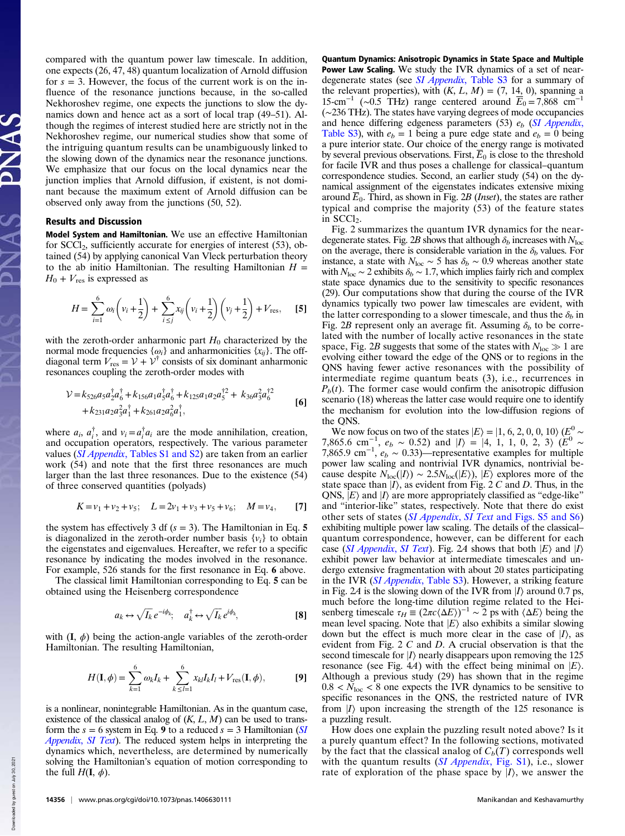compared with the quantum power law timescale. In addition, one expects (26, 47, 48) quantum localization of Arnold diffusion for  $s = 3$ . However, the focus of the current work is on the influence of the resonance junctions because, in the so-called Nekhoroshev regime, one expects the junctions to slow the dynamics down and hence act as a sort of local trap (49–51). Although the regimes of interest studied here are strictly not in the Nekhoroshev regime, our numerical studies show that some of the intriguing quantum results can be unambiguously linked to the slowing down of the dynamics near the resonance junctions. We emphasize that our focus on the local dynamics near the junction implies that Arnold diffusion, if existent, is not dominant because the maximum extent of Arnold diffusion can be observed only away from the junctions (50, 52).

#### Results and Discussion

Model System and Hamiltonian. We use an effective Hamiltonian for  $SCCl<sub>2</sub>$ , sufficiently accurate for energies of interest (53), obtained (54) by applying canonical Van Vleck perturbation theory to the ab initio Hamiltonian. The resulting Hamiltonian  $H =$  $H_0 + V_{\text{res}}$  is expressed as

$$
H = \sum_{i=1}^{6} \omega_i \left( v_i + \frac{1}{2} \right) + \sum_{i \le j}^{6} x_{ij} \left( v_i + \frac{1}{2} \right) \left( v_j + \frac{1}{2} \right) + V_{\text{res}}, \quad [5]
$$

with the zeroth-order anharmonic part  $H_0$  characterized by the normal mode frequencies  $\{\omega_i\}$  and anharmonicities  $\{x_{ij}\}\$ . The offdiagonal term  $V_{res} = V + V^{\dagger}$  consists of six dominant anharmonic resonances coupling the zeroth-order modes with

$$
V = k_{526}a_5a_2^{\dagger}a_6^{\dagger} + k_{156}a_1a_5^{\dagger}a_6^{\dagger} + k_{125}a_1a_2a_5^{22} + k_{36}a_3^2a_6^{22} + k_{231}a_2a_3^2a_1^{\dagger} + k_{251}a_2a_6^2a_1^{\dagger},
$$
\n[6]

where  $a_i$ ,  $a_i^{\dagger}$ , and  $v_i = a_i^{\dagger} a_i$  are the mode annihilation, creation, and occupation operators, respectively. The various parameter values (SI Appendix, Tables S1 and S2) are taken from an earlier work (54) and note that the first three resonances are much larger than the last three resonances. Due to the existence (54) of three conserved quantities (polyads)

$$
K = v_1 + v_2 + v_5; \quad L = 2v_1 + v_3 + v_5 + v_6; \quad M = v_4, \quad [7]
$$

the system has effectively 3 df  $(s = 3)$ . The Hamiltonian in Eq. 5 is diagonalized in the zeroth-order number basis  $\{v_i\}$  to obtain the eigenstates and eigenvalues. Hereafter, we refer to a specific resonance by indicating the modes involved in the resonance. For example, 526 stands for the first resonance in Eq. 6 above.

The classical limit Hamiltonian corresponding to Eq. 5 can be obtained using the Heisenberg correspondence

$$
a_k \leftrightarrow \sqrt{I_k} \, e^{-i\phi_k}; \quad a_k^{\dagger} \leftrightarrow \sqrt{I_k} \, e^{i\phi_k}, \tag{8}
$$

with  $(I, \phi)$  being the action-angle variables of the zeroth-order Hamiltonian. The resulting Hamiltonian,

$$
H(\mathbf{I}, \phi) = \sum_{k=1}^{6} \omega_k I_k + \sum_{k \leq l=1}^{6} x_{kl} I_k I_l + V_{\text{res}}(\mathbf{I}, \phi),
$$
 [9]

is a nonlinear, nonintegrable Hamiltonian. As in the quantum case, existence of the classical analog of  $(K, L, M)$  can be used to transform the  $s = 6$  system in Eq. 9 to a reduced  $s = 3$  Hamiltonian (SI Appendix, SI Text). The reduced system helps in interpreting the dynamics which, nevertheless, are determined by numerically solving the Hamiltonian's equation of motion corresponding to the full  $H(I, \phi)$ .

Quantum Dynamics: Anisotropic Dynamics in State Space and Multiple Power Law Scaling. We study the IVR dynamics of a set of neardegenerate states (see *SI Appendix*, Table S3 for a summary of the relevant properties), with  $(K, L, M) = (7, 14, 0)$ , spanning a 15-cm<sup>-1</sup> (~0.5 THz) range centered around  $\vec{E}_0 = 7,868$  cm<sup>-1</sup> (∼236 THz). The states have varying degrees of mode occupancies and hence differing edgeness parameters (53)  $e<sub>b</sub>$  (SI Appendix, Table S3), with  $e_b = 1$  being a pure edge state and  $e_b = 0$  being a pure interior state. Our choice of the energy range is motivated by several previous observations. First,  $\overline{E}_0$  is close to the threshold for facile IVR and thus poses a challenge for classical–quantum correspondence studies. Second, an earlier study (54) on the dynamical assignment of the eigenstates indicates extensive mixing around  $\overline{E}_0$ . Third, as shown in Fig. 2B (*Inset*), the states are rather typical and comprise the majority (53) of the feature states in  $SCCI<sub>2</sub>$ .

Fig. 2 summarizes the quantum IVR dynamics for the neardegenerate states. Fig. 2B shows that although  $\delta_b$  increases with  $N_{\text{loc}}$ on the average, there is considerable variation in the  $\delta_b$  values. For instance, a state with  $N_{\text{loc}} \sim 5$  has  $\delta_b \sim 0.9$  whereas another state with  $N_{\text{loc}} \sim 2$  exhibits  $\delta_b \sim 1.7$ , which implies fairly rich and complex state space dynamics due to the sensitivity to specific resonances (29). Our computations show that during the course of the IVR dynamics typically two power law timescales are evident, with the latter corresponding to a slower timescale, and thus the  $\delta_b$  in Fig. 2B represent only an average fit. Assuming  $\delta_b$  to be correlated with the number of locally active resonances in the state space, Fig. 2B suggests that some of the states with  $N_{\text{loc}} \gg 1$  are evolving either toward the edge of the QNS or to regions in the QNS having fewer active resonances with the possibility of intermediate regime quantum beats (3), i.e., recurrences in  $P_b(t)$ . The former case would confirm the anisotropic diffusion scenario (18) whereas the latter case would require one to identify the mechanism for evolution into the low-diffusion regions of the QNS.

We now focus on two of the states  $|E\rangle = |1, 6, 2, 0, 0, 10\rangle$  ( $E^0 \sim$ 7,865.6 cm<sup>-1</sup>,  $e_b \sim 0.52$ ) and  $|I\rangle = |4, 1, 1, 0, 2, 3 \rangle$  ( $E^0 \sim$ 7,865.9 cm<sup>-1</sup>,  $e_b \sim 0.33$ )—representative examples for multiple power law scaling and nontrivial IVR dynamics, nontrivial because despite  $N_{\text{loc}}(|I\rangle) \sim 2.5N_{\text{loc}}(|E\rangle)$ ,  $|E\rangle$  explores more of the state space than  $|I\rangle$ , as evident from Fig. 2 C and D. Thus, in the QNS,  $|E\rangle$  and  $|I\rangle$  are more appropriately classified as "edge-like" and "interior-like" states, respectively. Note that there do exist other sets of states (SI Appendix, SI Text and Figs. S5 and S6) exhibiting multiple power law scaling. The details of the classical– quantum correspondence, however, can be different for each case (SI Appendix, SI Text). Fig. 2A shows that both  $|E\rangle$  and  $|I\rangle$ exhibit power law behavior at intermediate timescales and undergo extensive fragmentation with about 20 states participating in the IVR (*SI Appendix*, Table S3). However, a striking feature in Fig. 2A is the slowing down of the IVR from  $|I\rangle$  around 0.7 ps, much before the long-time dilution regime related to the Heisenberg timescale  $\tau_H \equiv (2\pi c \langle \Delta E \rangle)^{-1} \sim 2$  ps with  $\langle \Delta E \rangle$  being the mean level spacing. Note that  $|E\rangle$  also exhibits a similar slowing down but the effect is much more clear in the case of  $|I\rangle$ , as evident from Fig. 2 C and D. A crucial observation is that the second timescale for  $|I\rangle$  nearly disappears upon removing the 125 resonance (see Fig. 4A) with the effect being minimal on  $|E\rangle$ . Although a previous study (29) has shown that in the regime  $0.8 < N<sub>loc</sub> < 8$  one expects the IVR dynamics to be sensitive to specific resonances in the QNS, the restricted nature of IVR from  $|I\rangle$  upon increasing the strength of the 125 resonance is a puzzling result.

How does one explain the puzzling result noted above? Is it a purely quantum effect? In the following sections, motivated by the fact that the classical analog of  $C_b(T)$  corresponds well with the quantum results (SI Appendix, Fig. S1), i.e., slower rate of exploration of the phase space by  $|I\rangle$ , we answer the

Downloaded by guest on July 30, 2021 loaded by guest on July 30, 2021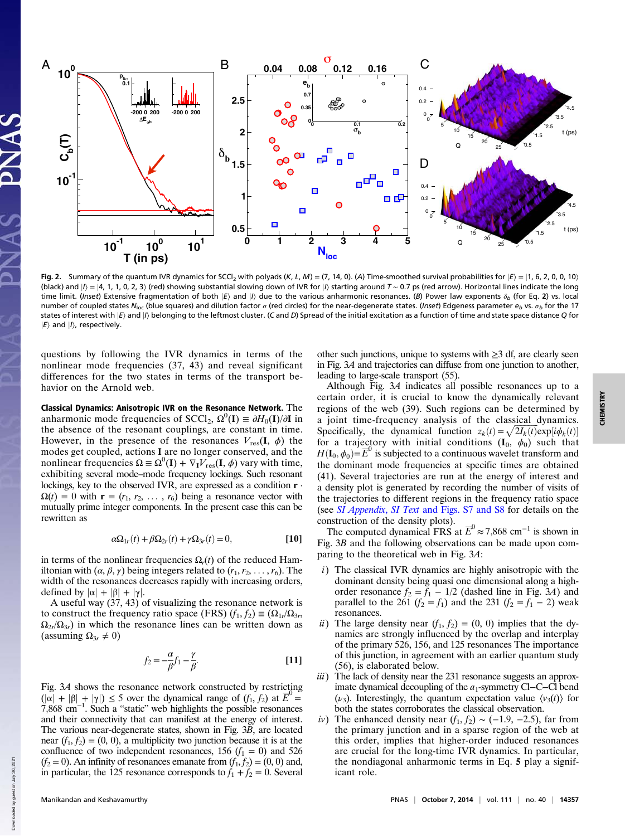

Fig. 2. Summary of the quantum IVR dynamics for SCCl<sub>2</sub> with polyads (K, L, M) = (7, 14, 0). (A) Time-smoothed survival probabilities for  $|E\rangle = |1, 6, 2, 0, 0, 10\rangle$ (black) and  $|I\rangle = |4, 1, 1, 0, 2, 3\rangle$  (red) showing substantial slowing down of IVR for  $|I\rangle$  starting around  $T \sim 0.7$  ps (red arrow). Horizontal lines indicate the long time limit. (Inset) Extensive fragmentation of both  $|E\rangle$  and  $|I\rangle$  due to the various anharmonic resonances. (B) Power law exponents  $\delta_h$  (for Eq. 2) vs. local number of coupled states N<sub>loc</sub> (blue squares) and dilution factor  $\sigma$  (red circles) for the near-degenerate states. (Inset) Edgeness parameter  $e_b$  vs.  $\sigma_b$  for the 17 states of interest with  $|E\rangle$  and  $|l\rangle$  belonging to the leftmost cluster. (C and D) Spread of the initial excitation as a function of time and state space distance Q for  $|E\rangle$  and  $|I\rangle$ , respectively.

questions by following the IVR dynamics in terms of the nonlinear mode frequencies (37, 43) and reveal significant differences for the two states in terms of the transport behavior on the Arnold web.

Classical Dynamics: Anisotropic IVR on the Resonance Network. The anharmonic mode frequencies of SCCl<sub>2</sub>,  $\Omega^0(I) \equiv \partial H_0(I)/\partial I$  in the absence of the resonant couplings, are constant in time. However, in the presence of the resonances  $V_{res}(\mathbf{I}, \phi)$  the modes get coupled, actions I are no longer conserved, and the nonlinear frequencies  $\Omega = \Omega^0(I) + \nabla_I V_{\text{res}}(I, \phi)$  vary with time, exhibiting several mode–mode frequency lockings. Such resonant lockings, key to the observed IVR, are expressed as a condition  $\mathbf{r}$ .  $\Omega(t) = 0$  with  $\mathbf{r} = (r_1, r_2, \dots, r_6)$  being a resonance vector with mutually prime integer components. In the present case this can be rewritten as

$$
\alpha \Omega_{1r}(t) + \beta \Omega_{2r}(t) + \gamma \Omega_{3r}(t) = 0, \qquad [10]
$$

in terms of the nonlinear frequencies  $\Omega_r(t)$  of the reduced Hamiltonian with  $(\alpha, \beta, \gamma)$  being integers related to  $(r_1, r_2, \dots, r_6)$ . The width of the resonances decreases rapidly with increasing orders, defined by  $|\alpha| + |\beta| + |\gamma|$ .

A useful way (37, 43) of visualizing the resonance network is to construct the frequency ratio space (FRS)  $(f_1, f_2) \equiv (\Omega_{1r}/\Omega_{3r},$  $\Omega_{2r}/\Omega_{3r}$ ) in which the resonance lines can be written down as (assuming  $\Omega_{3r} \neq 0$ )

$$
f_2 = -\frac{\alpha}{\beta} f_1 - \frac{\gamma}{\beta}.
$$
 [11]

Fig. 3A shows the resonance network constructed by restricting  $(|\alpha| + |\beta| + |\gamma|) \le 5$  over the dynamical range of  $(f_1, f_2)$  at  $\overline{E} =$ 7;868 cm−<sup>1</sup> . Such a "static" web highlights the possible resonances and their connectivity that can manifest at the energy of interest. The various near-degenerate states, shown in Fig. 3B, are located near  $(f_1, f_2) = (0, 0)$ , a multiplicity two junction because it is at the confluence of two independent resonances, 156  $(f_1 = 0)$  and 526  $(f_2 = 0)$ . An infinity of resonances emanate from  $(f_1, f_2) = (0, 0)$  and, in particular, the 125 resonance corresponds to  $f_1 + f_2 = 0$ . Several

other such junctions, unique to systems with  $\geq 3$  df, are clearly seen in Fig. 3A and trajectories can diffuse from one junction to another, leading to large-scale transport (55).

Although Fig. 3A indicates all possible resonances up to a certain order, it is crucial to know the dynamically relevant regions of the web (39). Such regions can be determined by a joint time-frequency analysis of the classical dynamics. Specifically, the dynamical function  $z_k(t) = \sqrt{2I_k(t)} \exp[i\phi_k(t)]$ for a trajectory with initial conditions  $(I_0, \phi_0)$  such that  $H(\mathbf{I}_0, \phi_0) = \overline{E}^0$  is subjected to a continuous wavelet transform and the dominant mode frequencies at specific times are obtained (41). Several trajectories are run at the energy of interest and a density plot is generated by recording the number of visits of the trajectories to different regions in the frequency ratio space (see SI Appendix, SI Text and Figs. S7 and S8 for details on the construction of the density plots).

The computed dynamical FRS at  $\overline{E}^0 \approx 7,868$  cm<sup>-1</sup> is shown in Fig. 3B and the following observations can be made upon comparing to the theoretical web in Fig. 3A:

- i) The classical IVR dynamics are highly anisotropic with the dominant density being quasi one dimensional along a highorder resonance  $f_2 = f_1 - 1/2$  (dashed line in Fig. 3A) and parallel to the 261 ( $f_2 = f_1$ ) and the 231 ( $f_2 = f_1 - 2$ ) weak resonances.
- ii) The large density near  $(f_1, f_2) = (0, 0)$  implies that the dynamics are strongly influenced by the overlap and interplay of the primary 526, 156, and 125 resonances The importance of this junction, in agreement with an earlier quantum study (56), is elaborated below.
- iii) The lack of density near the 231 resonance suggests an approximate dynamical decoupling of the  $a_1$ -symmetry Cl–C–Cl bend  $(\nu_3)$ . Interestingly, the quantum expectation value  $\langle v_3(t) \rangle$  for both the states corroborates the classical observation.
- iv) The enhanced density near  $(f_1, f_2) \sim (-1.9, -2.5)$ , far from the primary junction and in a sparse region of the web at this order, implies that higher-order induced resonances are crucial for the long-time IVR dynamics. In particular, the nondiagonal anharmonic terms in Eq. 5 play a significant role.

Down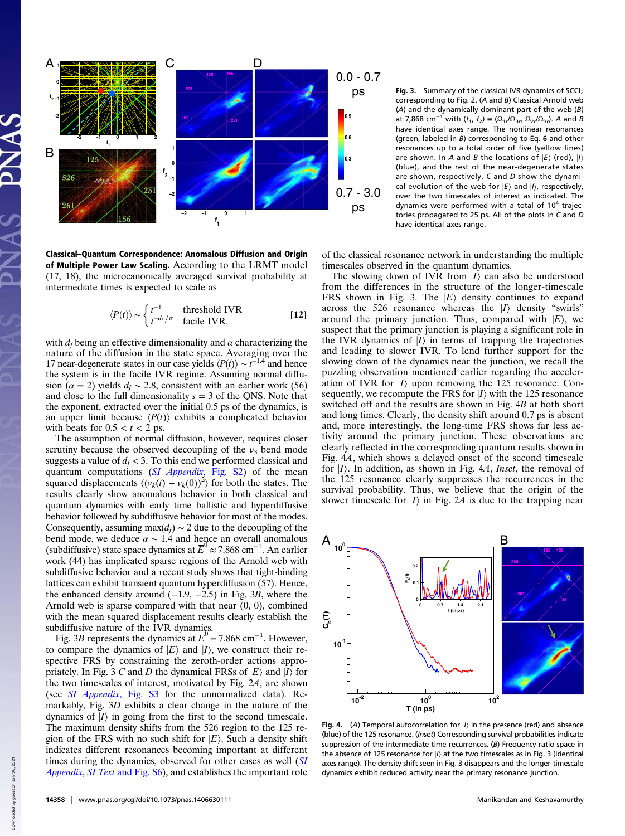

Classical–Quantum Correspondence: Anomalous Diffusion and Origin of Multiple Power Law Scaling. According to the LRMT model (17, 18), the microcanonically averaged survival probability at intermediate times is expected to scale as

$$
\langle P(t) \rangle \sim \begin{cases} t^{-1} & \text{threshold IVR} \\ t^{-d_f/\alpha} & \text{facile IVR}, \end{cases}
$$
 [12]

with  $d_f$  being an effective dimensionality and  $\alpha$  characterizing the nature of the diffusion in the state space. Averaging over the 17 near-degenerate states in our case yields  $\langle P(t) \rangle \sim t^{-1.4}$  and hence the system is in the facile IVR regime. Assuming normal diffusion ( $\alpha = 2$ ) yields  $d_f \sim 2.8$ , consistent with an earlier work (56) and close to the full dimensionality  $s = 3$  of the QNS. Note that the exponent, extracted over the initial 0.5 ps of the dynamics, is an upper limit because  $\langle P(t) \rangle$  exhibits a complicated behavior with beats for  $0.5 < t < 2$  ps.

The assumption of normal diffusion, however, requires closer scrutiny because the observed decoupling of the  $\nu_3$  bend mode suggests a value of  $d_f < 3$ . To this end we performed classical and quantum computations (SI Appendix, Fig. S2) of the mean squared displacements  $\langle (v_k(t) - v_k(0))^2 \rangle$  for both the states. The results clearly show anomalous behavior in both classical and quantum dynamics with early time ballistic and hyperdiffusive behavior followed by subdiffusive behavior for most of the modes. Consequently, assuming max $(d_f) \sim 2$  due to the decoupling of the bend mode, we deduce  $\alpha \sim 1.4$  and hence an overall anomalous (subdiffusive) state space dynamics at  $\overline{E}^0 \approx 7,868$  cm<sup>-1</sup>. An earlier work (44) has implicated sparse regions of the Arnold web with subdiffusive behavior and a recent study shows that tight-binding lattices can exhibit transient quantum hyperdiffusion (57). Hence, the enhanced density around  $(-1.9, -2.5)$  in Fig. 3B, where the Arnold web is sparse compared with that near  $(0, 0)$ , combined with the mean squared displacement results clearly establish the subdiffusive nature of the IVR dynamics.

Fig. 3B represents the dynamics at  $\overline{E}^0$  = 7,868 cm<sup>-1</sup>. However, to compare the dynamics of  $|E\rangle$  and  $|I\rangle$ , we construct their respective FRS by constraining the zeroth-order actions appropriately. In Fig. 3 C and D the dynamical FRSs of  $|E\rangle$  and  $|I\rangle$  for the two timescales of interest, motivated by Fig. 2A, are shown (see *SI Appendix*, Fig. S3 for the unnormalized data). Remarkably, Fig. 3D exhibits a clear change in the nature of the dynamics of  $|I\rangle$  in going from the first to the second timescale. The maximum density shifts from the 526 region to the 125 region of the FRS with no such shift for  $|E\rangle$ . Such a density shift indicates different resonances becoming important at different times during the dynamics, observed for other cases as well (SI Appendix, SI Text and Fig. S6), and establishes the important role

Fig. 3. Summary of the classical IVR dynamics of  $SCCl<sub>2</sub>$ corresponding to Fig. 2. (A and B) Classical Arnold web (A) and the dynamically dominant part of the web  $(B)$ at 7,868 cm<sup>-1</sup> with  $(f_1, f_2) \equiv (\Omega_1/\Omega_{3r}, \Omega_2/\Omega_{3r})$ . A and B have identical axes range. The nonlinear resonances (green, labeled in B) corresponding to Eq. 6 and other resonances up to a total order of five (yellow lines) are shown. In A and B the locations of  $|E\rangle$  (red),  $|I\rangle$ (blue), and the rest of the near-degenerate states are shown, respectively. C and D show the dynamical evolution of the web for  $|E\rangle$  and  $|I\rangle$ , respectively, over the two timescales of interest as indicated. The dynamics were performed with a total of 10<sup>4</sup> trajectories propagated to 25 ps. All of the plots in C and D have identical axes range.

of the classical resonance network in understanding the multiple timescales observed in the quantum dynamics.

The slowing down of IVR from  $|I\rangle$  can also be understood from the differences in the structure of the longer-timescale FRS shown in Fig. 3. The  $|E\rangle$  density continues to expand across the 526 resonance whereas the  $|I\rangle$  density "swirls" around the primary junction. Thus, compared with  $|E\rangle$ , we suspect that the primary junction is playing a significant role in the IVR dynamics of  $|I\rangle$  in terms of trapping the trajectories and leading to slower IVR. To lend further support for the slowing down of the dynamics near the junction, we recall the puzzling observation mentioned earlier regarding the acceleration of IVR for  $|I\rangle$  upon removing the 125 resonance. Consequently, we recompute the FRS for  $|I\rangle$  with the 125 resonance switched off and the results are shown in Fig. 4B at both short and long times. Clearly, the density shift around 0.7 ps is absent and, more interestingly, the long-time FRS shows far less activity around the primary junction. These observations are clearly reflected in the corresponding quantum results shown in Fig. 4A, which shows a delayed onset of the second timescale for  $|I\rangle$ . In addition, as shown in Fig. 4A, Inset, the removal of the 125 resonance clearly suppresses the recurrences in the survival probability. Thus, we believe that the origin of the slower timescale for  $|I\rangle$  in Fig. 2A is due to the trapping near



Fig. 4. (A) Temporal autocorrelation for  $|I\rangle$  in the presence (red) and absence (blue) of the 125 resonance. (Inset) Corresponding survival probabilities indicate suppression of the intermediate time recurrences. (B) Frequency ratio space in the absence of 125 resonance for  $|I\rangle$  at the two timescales as in Fig. 3 (identical axes range). The density shift seen in Fig. 3 disappears and the longer-timescale dynamics exhibit reduced activity near the primary resonance junction.

hwn